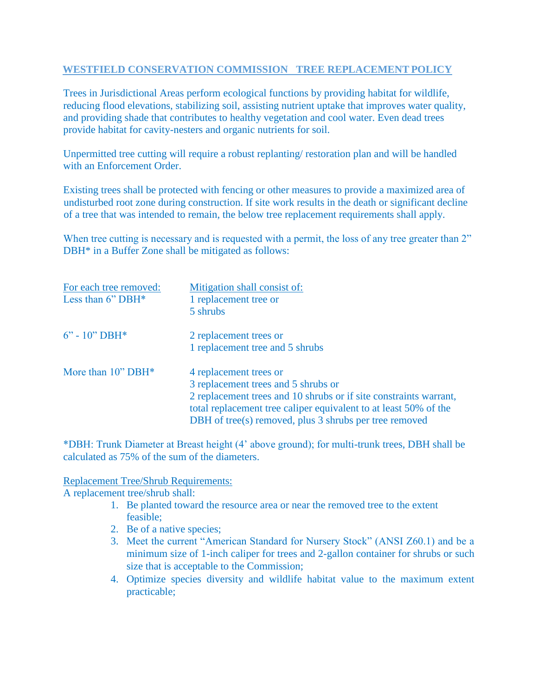# **WESTFIELD CONSERVATION COMMISSION TREE REPLACEMENT POLICY**

Trees in Jurisdictional Areas perform ecological functions by providing habitat for wildlife, reducing flood elevations, stabilizing soil, assisting nutrient uptake that improves water quality, and providing shade that contributes to healthy vegetation and cool water. Even dead trees provide habitat for cavity-nesters and organic nutrients for soil.

Unpermitted tree cutting will require a robust replanting/ restoration plan and will be handled with an Enforcement Order.

Existing trees shall be protected with fencing or other measures to provide a maximized area of undisturbed root zone during construction. If site work results in the death or significant decline of a tree that was intended to remain, the below tree replacement requirements shall apply.

When tree cutting is necessary and is requested with a permit, the loss of any tree greater than 2" DBH<sup>\*</sup> in a Buffer Zone shall be mitigated as follows:

| For each tree removed:<br>Less than $6$ " DBH $*$ | Mitigation shall consist of:<br>1 replacement tree or<br>5 shrubs                                                                     |
|---------------------------------------------------|---------------------------------------------------------------------------------------------------------------------------------------|
| $6" - 10" DBH*$                                   | 2 replacement trees or<br>1 replacement tree and 5 shrubs                                                                             |
| More than 10" DBH*                                | 4 replacement trees or                                                                                                                |
|                                                   | 3 replacement trees and 5 shrubs or                                                                                                   |
|                                                   | 2 replacement trees and 10 shrubs or if site constraints warrant,<br>total replacement tree caliper equivalent to at least 50% of the |
|                                                   | DBH of tree(s) removed, plus 3 shrubs per tree removed                                                                                |

\*DBH: Trunk Diameter at Breast height (4' above ground); for multi-trunk trees, DBH shall be calculated as 75% of the sum of the diameters.

## Replacement Tree/Shrub Requirements:

A replacement tree/shrub shall:

- 1. Be planted toward the resource area or near the removed tree to the extent feasible;
- 2. Be of a native species;
- 3. Meet the current "American Standard for Nursery Stock" (ANSI Z60.1) and be a minimum size of 1-inch caliper for trees and 2-gallon container for shrubs or such size that is acceptable to the Commission;
- 4. Optimize species diversity and wildlife habitat value to the maximum extent practicable;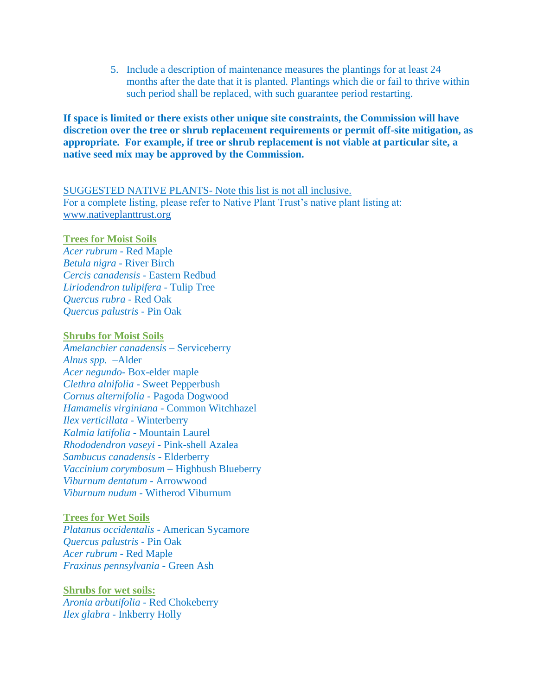5. Include a description of maintenance measures the plantings for at least 24 months after the date that it is planted. Plantings which die or fail to thrive within such period shall be replaced, with such guarantee period restarting.

**If space is limited or there exists other unique site constraints, the Commission will have discretion over the tree or shrub replacement requirements or permit off-site mitigation, as appropriate. For example, if tree or shrub replacement is not viable at particular site, a native seed mix may be approved by the Commission.**

#### SUGGESTED NATIVE PLANTS- Note this list is not all inclusive.

For a complete listing, please refer to Native Plant Trust's native plant listing at: [www.nativeplanttrust.org](http://www.nativeplanttrust.org/)

### **Trees for Moist Soils**

*Acer rubrum* - Red Maple *Betula nigra* - River Birch *Cercis canadensis* - Eastern Redbud *Liriodendron tulipifera* - Tulip Tree *Quercus rubra* - Red Oak *Quercus palustris* - Pin Oak

#### **Shrubs for Moist Soils**

*Amelanchier canadensis* – Serviceberry *Alnus spp.* –Alder *Acer negundo*- Box-elder maple *Clethra alnifolia* - Sweet Pepperbush *Cornus alternifolia* - Pagoda Dogwood *Hamamelis virginiana* - Common Witchhazel *Ilex verticillata* - Winterberry *Kalmia latifolia* - Mountain Laurel *Rhododendron vaseyi* - Pink-shell Azalea *Sambucus canadensis* - Elderberry *Vaccinium corymbosum* – Highbush Blueberry *Viburnum dentatum* - Arrowwood *Viburnum nudum* - Witherod Viburnum

### **Trees for Wet Soils**

*Platanus occidentalis* - American Sycamore *Quercus palustris* - Pin Oak *Acer rubrum* - Red Maple *Fraxinus pennsylvania* - Green Ash

### **Shrubs for wet soils:** *Aronia arbutifolia* - Red Chokeberry

*Ilex glabra* - Inkberry Holly